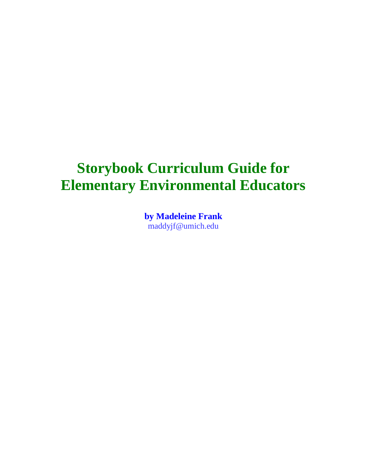# **Storybook Curriculum Guide for Elementary Environmental Educators**

**by Madeleine Frank** maddyjf@umich.edu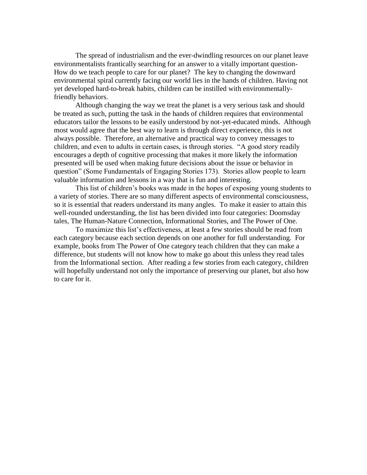The spread of industrialism and the ever-dwindling resources on our planet leave environmentalists frantically searching for an answer to a vitally important question-How do we teach people to care for our planet? The key to changing the downward environmental spiral currently facing our world lies in the hands of children. Having not yet developed hard-to-break habits, children can be instilled with environmentallyfriendly behaviors.

Although changing the way we treat the planet is a very serious task and should be treated as such, putting the task in the hands of children requires that environmental educators tailor the lessons to be easily understood by not-yet-educated minds. Although most would agree that the best way to learn is through direct experience, this is not always possible. Therefore, an alternative and practical way to convey messages to children, and even to adults in certain cases, is through stories. "A good story readily encourages a depth of cognitive processing that makes it more likely the information presented will be used when making future decisions about the issue or behavior in question" (Some Fundamentals of Engaging Stories 173). Stories allow people to learn valuable information and lessons in a way that is fun and interesting.

This list of children's books was made in the hopes of exposing young students to a variety of stories. There are so many different aspects of environmental consciousness, so it is essential that readers understand its many angles. To make it easier to attain this well-rounded understanding, the list has been divided into four categories: Doomsday tales, The Human-Nature Connection, Informational Stories, and The Power of One.

To maximize this list's effectiveness, at least a few stories should be read from each category because each section depends on one another for full understanding. For example, books from The Power of One category teach children that they can make a difference, but students will not know how to make go about this unless they read tales from the Informational section. After reading a few stories from each category, children will hopefully understand not only the importance of preserving our planet, but also how to care for it.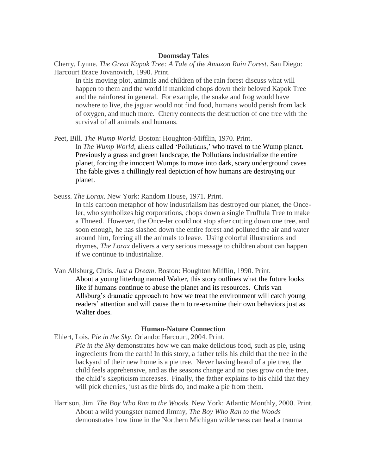#### **Doomsday Tales**

Cherry, Lynne. *The Great Kapok Tree: A Tale of the Amazon Rain Forest*. San Diego: Harcourt Brace Jovanovich, 1990. Print.

In this moving plot, animals and children of the rain forest discuss what will happen to them and the world if mankind chops down their beloved Kapok Tree and the rainforest in general. For example, the snake and frog would have nowhere to live, the jaguar would not find food, humans would perish from lack of oxygen, and much more. Cherry connects the destruction of one tree with the survival of all animals and humans.

Peet, Bill. *The Wump World*. Boston: Houghton-Mifflin, 1970. Print.

In *The Wump World*, aliens called 'Pollutians,' who travel to the Wump planet. Previously a grass and green landscape, the Pollutians industrialize the entire planet, forcing the innocent Wumps to move into dark, scary underground caves The fable gives a chillingly real depiction of how humans are destroying our planet.

Seuss. *The Lorax*. New York: Random House, 1971. Print.

In this cartoon metaphor of how industrialism has destroyed our planet, the Onceler, who symbolizes big corporations, chops down a single Truffula Tree to make a Thneed. However, the Once-ler could not stop after cutting down one tree, and soon enough, he has slashed down the entire forest and polluted the air and water around him, forcing all the animals to leave. Using colorful illustrations and rhymes, *The Lorax* delivers a very serious message to children about can happen if we continue to industrialize.

Van Allsburg, Chris. *Just a Dream*. Boston: Houghton Mifflin, 1990. Print. About a young litterbug named Walter, this story outlines what the future looks like if humans continue to abuse the planet and its resources. Chris van Allsburg's dramatic approach to how we treat the environment will catch young readers' attention and will cause them to re-examine their own behaviors just as Walter does.

#### **Human-Nature Connection**

- Ehlert, Lois. *Pie in the Sky*. Orlando: Harcourt, 2004. Print.
	- *Pie in the Sky* demonstrates how we can make delicious food, such as pie, using ingredients from the earth! In this story, a father tells his child that the tree in the backyard of their new home is a pie tree. Never having heard of a pie tree, the child feels apprehensive, and as the seasons change and no pies grow on the tree, the child's skepticism increases. Finally, the father explains to his child that they will pick cherries, just as the birds do, and make a pie from them.
- Harrison, Jim. *The Boy Who Ran to the Woods*. New York: Atlantic Monthly, 2000. Print. About a wild youngster named Jimmy, *The Boy Who Ran to the Woods* demonstrates how time in the Northern Michigan wilderness can heal a trauma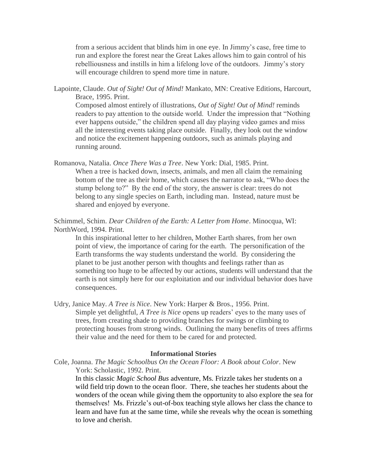from a serious accident that blinds him in one eye. In Jimmy's case, free time to run and explore the forest near the Great Lakes allows him to gain control of his rebelliousness and instills in him a lifelong love of the outdoors. Jimmy's story will encourage children to spend more time in nature.

Lapointe, Claude. *Out of Sight! Out of Mind!* Mankato, MN: Creative Editions, Harcourt, Brace, 1995. Print.

Composed almost entirely of illustrations, *Out of Sight! Out of Mind!* reminds readers to pay attention to the outside world. Under the impression that "Nothing ever happens outside," the children spend all day playing video games and miss all the interesting events taking place outside. Finally, they look out the window and notice the excitement happening outdoors, such as animals playing and running around.

Romanova, Natalia. *Once There Was a Tree*. New York: Dial, 1985. Print. When a tree is hacked down, insects, animals, and men all claim the remaining bottom of the tree as their home, which causes the narrator to ask, "Who does the stump belong to?" By the end of the story, the answer is clear: trees do not belong to any single species on Earth, including man. Instead, nature must be shared and enjoyed by everyone.

Schimmel, Schim. *Dear Children of the Earth: A Letter from Home*. Minocqua, WI: NorthWord, 1994. Print.

In this inspirational letter to her children, Mother Earth shares, from her own point of view, the importance of caring for the earth. The personification of the Earth transforms the way students understand the world. By considering the planet to be just another person with thoughts and feelings rather than as something too huge to be affected by our actions, students will understand that the earth is not simply here for our exploitation and our individual behavior does have consequences.

Udry, Janice May. *A Tree is Nice*. New York: Harper & Bros., 1956. Print. Simple yet delightful, *A Tree is Nice* opens up readers' eyes to the many uses of trees, from creating shade to providing branches for swings or climbing to protecting houses from strong winds. Outlining the many benefits of trees affirms their value and the need for them to be cared for and protected.

## **Informational Stories**

Cole, Joanna. *The Magic Schoolbus On the Ocean Floor: A Book about Color*. New York: Scholastic, 1992. Print.

In this classic *Magic School Bus* adventure, Ms. Frizzle takes her students on a wild field trip down to the ocean floor. There, she teaches her students about the wonders of the ocean while giving them the opportunity to also explore the sea for themselves! Ms. Frizzle's out-of-box teaching style allows her class the chance to learn and have fun at the same time, while she reveals why the ocean is something to love and cherish.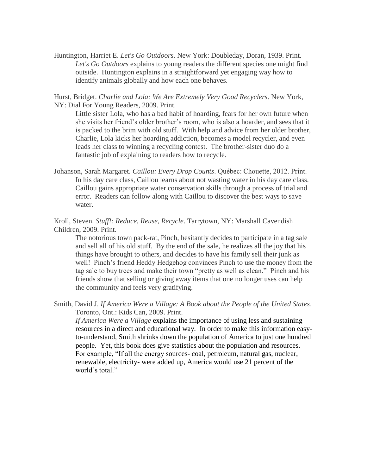Huntington, Harriet E. *Let's Go Outdoors*. New York: Doubleday, Doran, 1939. Print. *Let's Go Outdoors* explains to young readers the different species one might find outside. Huntington explains in a straightforward yet engaging way how to identify animals globally and how each one behaves.

Hurst, Bridget. *Charlie and Lola: We Are Extremely Very Good Recyclers*. New York, NY: Dial For Young Readers, 2009. Print.

Little sister Lola, who has a bad habit of hoarding, fears for her own future when she visits her friend's older brother's room, who is also a hoarder, and sees that it is packed to the brim with old stuff. With help and advice from her older brother, Charlie, Lola kicks her hoarding addiction, becomes a model recycler, and even leads her class to winning a recycling contest. The brother-sister duo do a fantastic job of explaining to readers how to recycle.

Johanson, Sarah Margaret. *Caillou: Every Drop Counts*. Québec: Chouette, 2012. Print. In his day care class, Caillou learns about not wasting water in his day care class. Caillou gains appropriate water conservation skills through a process of trial and error. Readers can follow along with Caillou to discover the best ways to save water.

Kroll, Steven. *Stuff!: Reduce, Reuse, Recycle*. Tarrytown, NY: Marshall Cavendish Children, 2009. Print.

The notorious town pack-rat, Pinch, hesitantly decides to participate in a tag sale and sell all of his old stuff. By the end of the sale, he realizes all the joy that his things have brought to others, and decides to have his family sell their junk as well! Pinch's friend Heddy Hedgehog convinces Pinch to use the money from the tag sale to buy trees and make their town "pretty as well as clean." Pinch and his friends show that selling or giving away items that one no longer uses can help the community and feels very gratifying.

Smith, David J. *If America Were a Village: A Book about the People of the United States*. Toronto, Ont.: Kids Can, 2009. Print.

*If America Were a Village* explains the importance of using less and sustaining resources in a direct and educational way. In order to make this information easyto-understand, Smith shrinks down the population of America to just one hundred people. Yet, this book does give statistics about the population and resources. For example, "If all the energy sources- coal, petroleum, natural gas, nuclear, renewable, electricity- were added up, America would use 21 percent of the world's total."